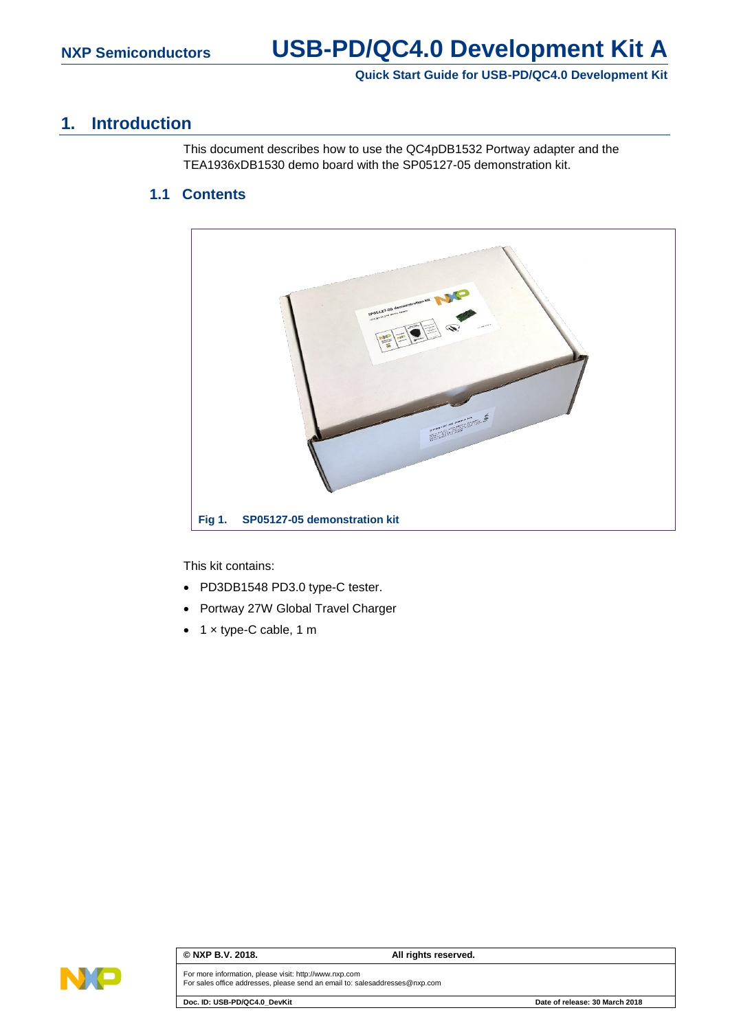# **Quick Start Guide for USB-PD/QC4.0 Development Kit**

# **1. Introduction**

This document describes how to use the QC4pDB1532 Portway adapter and the TEA1936xDB1530 demo board with the SP05127-05 demonstration kit.

# **1.1 Contents**



This kit contains:

- PD3DB1548 PD3.0 type-C tester.
- Portway 27W Global Travel Charger
- 1 × type-C cable, 1 m



### **© NXP B.V. 2018. All rights reserved.**

For more information, please visit: http://www.nxp.com For sales office addresses, please send an email to: salesaddresses@nxp.com

**Doc. ID: USB-PD/QC4.0\_DevKit Date of release: 30 March 2018**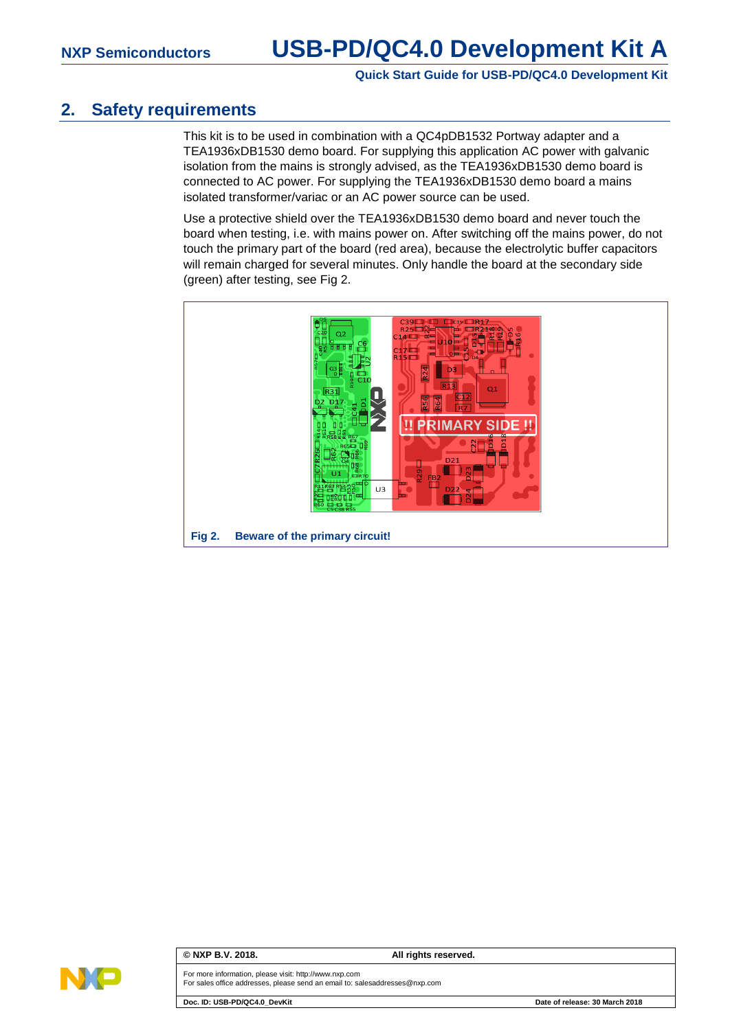# **NXP Semiconductors USB-PD/QC4.0 Development Kit A**

## **Quick Start Guide for USB-PD/QC4.0 Development Kit**

# **2. Safety requirements**

This kit is to be used in combination with a QC4pDB1532 Portway adapter and a TEA1936xDB1530 demo board. For supplying this application AC power with galvanic isolation from the mains is strongly advised, as the TEA1936xDB1530 demo board is connected to AC power. For supplying the TEA1936xDB1530 demo board a mains isolated transformer/variac or an AC power source can be used.

Use a protective shield over the TEA1936xDB1530 demo board and never touch the board when testing, i.e. with mains power on. After switching off the mains power, do not touch the primary part of the board (red area), because the electrolytic buffer capacitors will remain charged for several minutes. Only handle the board at the secondary side (green) after testing, see [Fig 2.](#page-1-0)

<span id="page-1-0"></span>



### **© NXP B.V. 2018. All rights reserved.**

For more information, please visit: http://www.nxp.com For sales office addresses, please send an email to: salesaddresses@nxp.com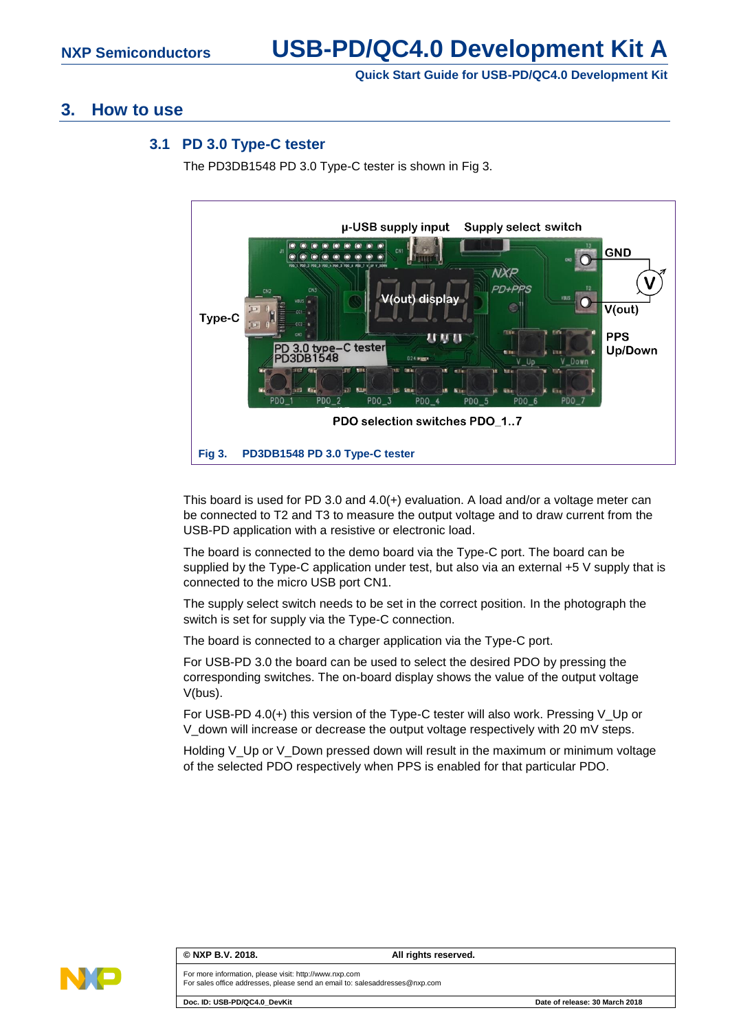# **Quick Start Guide for USB-PD/QC4.0 Development Kit**

# **3. How to use**

## **3.1 PD 3.0 Type-C tester**

The PD3DB1548 PD 3.0 Type-C tester is shown in [Fig 3.](#page-2-0)



<span id="page-2-0"></span>This board is used for PD 3.0 and 4.0(+) evaluation. A load and/or a voltage meter can be connected to T2 and T3 to measure the output voltage and to draw current from the USB-PD application with a resistive or electronic load.

The board is connected to the demo board via the Type-C port. The board can be supplied by the Type-C application under test, but also via an external +5 V supply that is connected to the micro USB port CN1.

The supply select switch needs to be set in the correct position. In the photograph the switch is set for supply via the Type-C connection.

The board is connected to a charger application via the Type-C port.

For USB-PD 3.0 the board can be used to select the desired PDO by pressing the corresponding switches. The on-board display shows the value of the output voltage V(bus).

For USB-PD 4.0(+) this version of the Type-C tester will also work. Pressing V\_Up or V\_down will increase or decrease the output voltage respectively with 20 mV steps.

Holding V\_Up or V\_Down pressed down will result in the maximum or minimum voltage of the selected PDO respectively when PPS is enabled for that particular PDO.



### **© NXP B.V. 2018. All rights reserved.**

For more information, please visit: http://www.nxp.com For sales office addresses, please send an email to: salesaddresses@nxp.com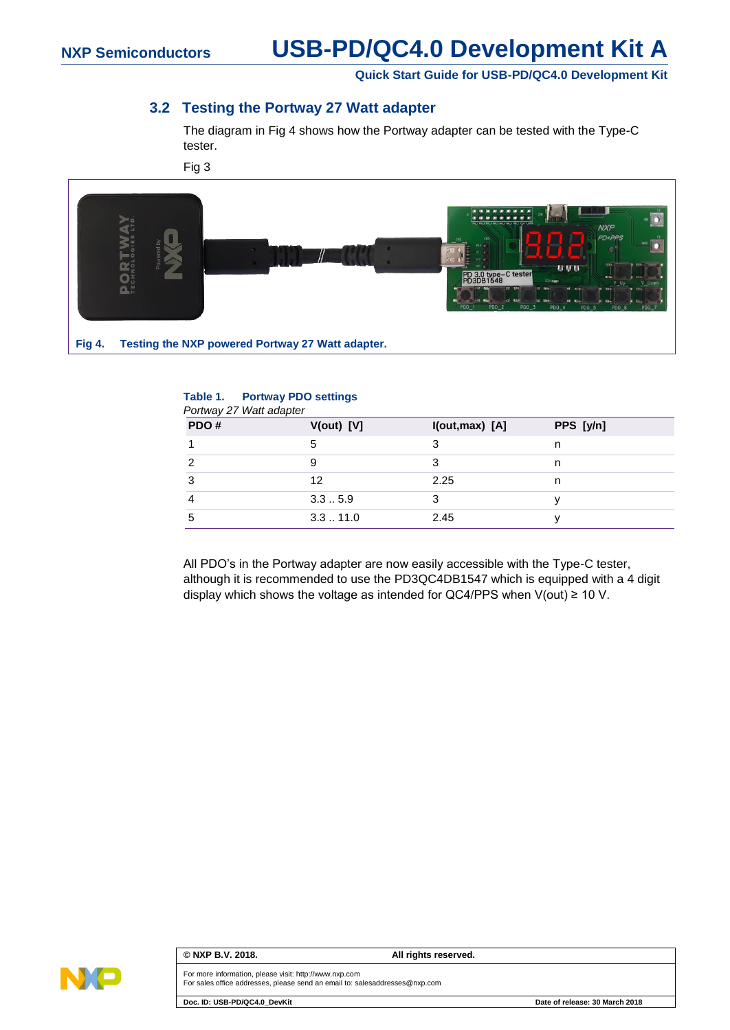# **NXP Semiconductors USB-PD/QC4.0 Development Kit A**

**Quick Start Guide for USB-PD/QC4.0 Development Kit**

# **3.2 Testing the Portway 27 Watt adapter**

The diagram in [Fig 4](#page-3-0) shows how the Portway adapter can be tested with the Type-C tester.

[Fig 3](#page-2-0)



## <span id="page-3-0"></span>**Table 1. Portway PDO settings**

| PDO# | $V(out)$ [V] | I(out, max) [A] | PPS [y/n] |
|------|--------------|-----------------|-----------|
|      | 5            | 3               | n         |
| 2    |              |                 | n         |
| 3    | 12           | 2.25            | n         |
|      | 3.35.9       |                 |           |
| 5    | 3.311.0      | 2.45            |           |

All PDO's in the Portway adapter are now easily accessible with the Type-C tester, although it is recommended to use the PD3QC4DB1547 which is equipped with a 4 digit display which shows the voltage as intended for QC4/PPS when  $V(out) \ge 10 V$ .



### **© NXP B.V. 2018. All rights reserved.**

For more information, please visit: http://www.nxp.com For sales office addresses, please send an email to: salesaddresses@nxp.com

**Doc. ID: USB-PD/QC4.0\_DevKit Date of release: 30 March 2018**